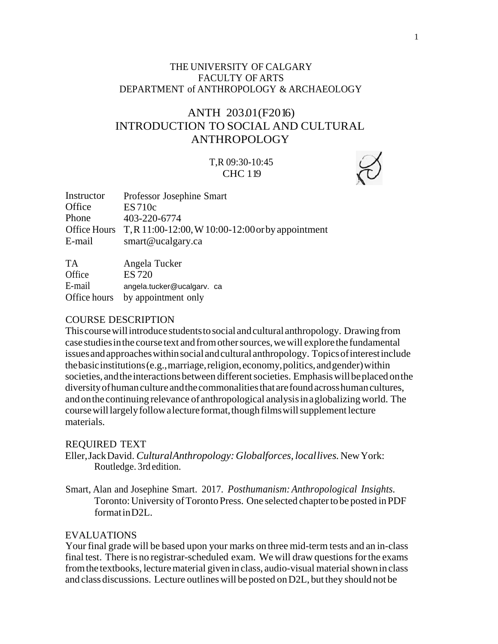# THE UNIVERSITY OF CALGARY FACULTY OF ARTS DEPARTMENT of ANTHROPOLOGY & ARCHAEOLOGY

# ANTH 203.01(F2016) INTRODUCTION TO SOCIAL AND CULTURAL ANTHROPOLOGY

# T,R 09:30-10:45 CHC 119

| Instructor | Professor Josephine Smart                                      |
|------------|----------------------------------------------------------------|
| Office     | ES 710c                                                        |
| Phone      | 403-220-6774                                                   |
|            | Office Hours T, R 11:00-12:00, W 10:00-12:00 or by appointment |
| E-mail     | smart@ucalgary.ca                                              |
|            |                                                                |
| $T_A$      |                                                                |

TA Angela Tucker Office ES 720 E-mail angela.tucker@ucalgarv. ca Office hours by appointment only

### COURSE DESCRIPTION

Thiscoursewillintroduce studentstosocial andcultural anthropology. Drawing from case studiesinthe course text andfromothersources,wewill explorethe fundamental issuesandapproacheswithinsocialandcultural anthropology. Topicsofinterestinclude thebasicinstitutions(e.g.,marriage,religion,economy,politics,andgender)within societies, and the interactions between different societies. Emphasis will be placed on the diversityofhuman culture andthecommonalitiesthat arefoundacrosshuman cultures, and on the continuing relevance of anthropological analysis in a globalizing world. The course will largely follow a lecture format, though films will supplement lecture materials.

#### REQUIRED TEXT

Eller,JackDavid. *CulturalAnthropology:Globalforces, locallives.*NewYork: Routledge. 3rd edition.

Smart, Alan and Josephine Smart. 2017. *Posthumanism:Anthropological Insights.* Toronto: University of Toronto Press. One selected chapter to be posted in PDF formatinD2L.

#### EVALUATIONS

Your final grade will be based upon your marks on three mid-term tests and an in-class final test. There is no registrar-scheduled exam. We will draw questions for the exams from the textbooks, lecture material given in class, audio-visual material shown in class and class discussions. Lecture outlineswill beposted onD2L, butthey should not be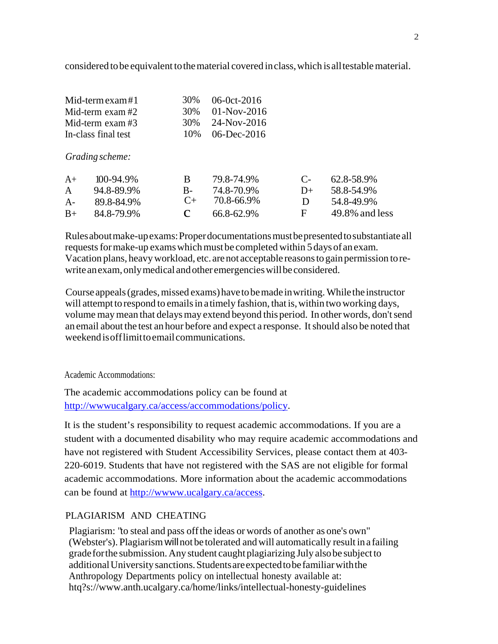considered tobe equivalent tothematerial covered inclass,which isalltestablematerial.

| Mid-term exam#1     | 30\% 06-0ct-2016 |
|---------------------|------------------|
| Mid-term exam #2    | 30\% 01-Nov-2016 |
| Mid-term exam $#3$  | 30\% 24-Nov-2016 |
| In-class final test | 10\% 06-Dec-2016 |

*Grading scheme:*

| $A+$         | $100 - 94.9\%$ | R.         | 79.8-74.9% | $\Gamma$     | 62.8-58.9%     |
|--------------|----------------|------------|------------|--------------|----------------|
| $\mathsf{A}$ | 94.8-89.9%     | <b>B</b> - | 74.8-70.9% | $1) +$       | 58.8-54.9%     |
| $A -$        | 89.8-84.9%     |            | 70.8-66.9% | $\mathbf{D}$ | 54.8-49.9%     |
| $B+$         | 84.8-79.9%     | <b>C</b>   | 66.8-62.9% | E            | 49.8% and less |

Rulesaboutmake-upexams:Properdocumentationsmustbepresentedtosubstantiate all requests for make-up exams which must be completed within 5 days of an exam. Vacation plans, heavyworkload, etc. arenot acceptable reasonsto gainpermission torewrite anexam, only medical and other emergencies will be considered.

Course appeals(grades,missed exams)havetobemade inwriting.Whilethe instructor will attempt to respond to emails in a timely fashion, that is, within two working days, volume may mean that delays may extend beyond this period. In other words, don't send an email about the test an hour before and expect a response. Itshould also be noted that weekend isofflimittoemailcommunications.

Academic Accommodations:

The academic accommodations policy can be found at [http://wwwucalgary.ca/access/accommodations/policy.](http://wwwucalgary.ca/access/accommodations/policy)

It is the student's responsibility to request academic accommodations. If you are a student with a documented disability who may require academic accommodations and have not registered with Student Accessibility Services, please contact them at 403- 220-6019. Students that have not registered with the SAS are not eligible for formal academic accommodations. More information about the academic accommodations can be found at [http://wwww.ucalgary.ca/access.](http://wwww.ucalgary.ca/access)

# PLAGIARISM AND CHEATING

Plagiarism: "to steal and pass offthe ideas or words of another as one's own" (Webster's). Plagiarism willnot be tolerated andwill automatically result in a failing grade for the submission. Any student caught plagiarizing July also be subject to additionalUniversity sanctions.Studentsareexpectedtobefamiliarwiththe Anthropology Departments policy on intellectual honesty available at: htq?s[://www.anth.ucalgary.ca/home/links/intellectual-honesty-guidelines](http://www.anth.ucalgary.ca/home/links/intellectual-honesty-guidelines)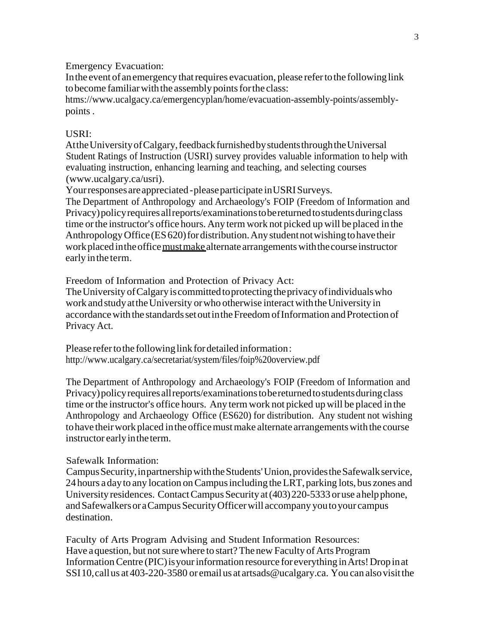Emergency Evacuation:

In the event of an emergency that requires evacuation, please refer to the following link to become familiar with the assembly points for the class:

htms[://www.ucalgacy.ca/emergencyplan/home/evacuation-assembly-points/assembly](http://www.ucalgacy.ca/emergencyplan/home/evacuation-assembly-points/assembly)points .

# USRI:

Atthe University of Calgary, feedback furnished by students through the Universal Student Ratings of Instruction (USRI) survey provides valuable information to help with evaluating instruction, enhancing learning and teaching, and selecting courses [\(www.ucalgary.ca/usri\).](http://www.ucalgary.ca/usri))

Your responses are appreciated - please participate in USRI Surveys.

The Department of Anthropology and Archaeology's FOIP (Freedom of Information and Privacy) policy requires all reports/examinations to be returned to students during class time orthe instructor's office hours. Any termwork not picked up will be placed in the Anthropology Office (ES 620) for distribution. Any student not wishing to have their work placed in the office must make alternate arrangements with the course instructor early inthe term.

Freedom of Information and Protection of Privacy Act:

The University of Calgary is committed to protecting the privacy of individuals who work and study at the University or who otherwise interact with the University in accordance with the standards set out in the Freedom of Information and Protection of Privacy Act.

Please refer to the following link for detailed information: <http://www.ucalgary.ca/secretariat/system/files/foip%20overview.pdf>

The Department of Anthropology and Archaeology's FOIP (Freedom of Information and Privacy)policyrequiresallreports/examinationstobereturnedtostudentsduringclass time orthe instructor's office hours. Any termwork not picked upwill be placed in the Anthropology and Archaeology Office (ES620) for distribution. Any student not wishing to have their work placed in the office must make alternate arrangements with the course instructor early in the term.

# Safewalk Information:

CampusSecurity,inpartnershipwiththeStudents'Union,providestheSafewalkservice, 24 hours a day to any location on Campus including the LRT, parking lots, bus zones and University residences. Contact Campus Security at (403) 220-5333 oruse ahelpphone, and Safewalkers or a Campus Security Officer will accompany you to your campus destination.

Faculty of Arts Program Advising and Student Information Resources: Have a question, but not sure where to start? The new Faculty of Arts Program Information Centre (PIC) is your information resource for everything in Arts! Drop in at SSI10,callus at403-220-3580 or email us at [artsads@ucalgary.ca.](mailto:artsads@ucalgary.ca) You can alsovisitthe